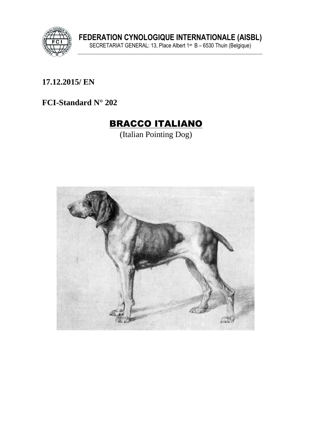

FEDERATION CYNOLOGIQUE INTERNATIONALE (AISBL)<br>SECRETARIAT GENERAL: 13, Place Albert 1<sup>er</sup> B – 6530 Thuin (Belgique)

17.12.2015/ EN

FCI-Standard  $N^{\circ}$  202

# **BRACCO ITALIANO**

(Italian Pointing Dog)

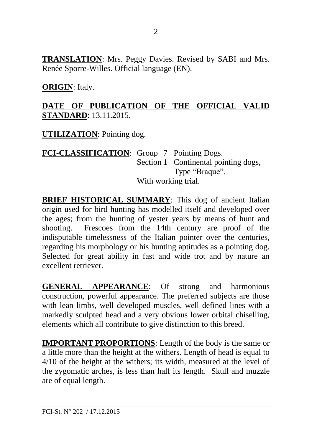**TRANSLATION**: Mrs. Peggy Davies. Revised by SABI and Mrs. Renée Sporre-Willes. Official language (EN).

#### **ORIGIN**: Italy.

#### **DATE OF PUBLICATION OF THE OFFICIAL VALID STANDARD**: 13.11.2015.

**UTILIZATION**: Pointing dog.

#### **FCI-CLASSIFICATION**: Group 7 Pointing Dogs. Section 1 Continental pointing dogs, Type "Braque". With working trial.

**BRIEF HISTORICAL SUMMARY**: This dog of ancient Italian origin used for bird hunting has modelled itself and developed over the ages; from the hunting of yester years by means of hunt and shooting. Frescoes from the 14th century are proof of the indisputable timelessness of the Italian pointer over the centuries, regarding his morphology or his hunting aptitudes as a pointing dog. Selected for great ability in fast and wide trot and by nature an excellent retriever.

**GENERAL APPEARANCE**: Of strong and harmonious construction, powerful appearance. The preferred subjects are those with lean limbs, well developed muscles, well defined lines with a markedly sculpted head and a very obvious lower orbital chiselling, elements which all contribute to give distinction to this breed.

**IMPORTANT PROPORTIONS**: Length of the body is the same or a little more than the height at the withers. Length of head is equal to 4/10 of the height at the withers; its width, measured at the level of the zygomatic arches, is less than half its length. Skull and muzzle are of equal length.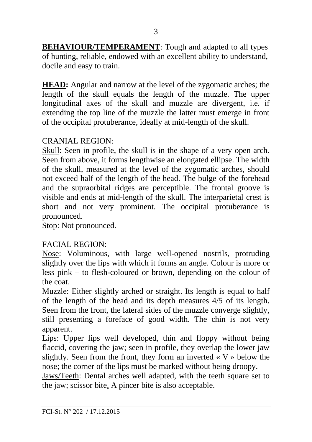**BEHAVIOUR/TEMPERAMENT**: Tough and adapted to all types of hunting, reliable, endowed with an excellent ability to understand, docile and easy to train.

**HEAD:** Angular and narrow at the level of the zygomatic arches; the length of the skull equals the length of the muzzle. The upper longitudinal axes of the skull and muzzle are divergent, i.e. if extending the top line of the muzzle the latter must emerge in front of the occipital protuberance, ideally at mid-length of the skull.

#### CRANIAL REGION:

Skull: Seen in profile, the skull is in the shape of a very open arch. Seen from above, it forms lengthwise an elongated ellipse. The width of the skull, measured at the level of the zygomatic arches, should not exceed half of the length of the head. The bulge of the forehead and the supraorbital ridges are perceptible. The frontal groove is visible and ends at mid-length of the skull. The interparietal crest is short and not very prominent. The occipital protuberance is pronounced.

Stop: Not pronounced.

#### FACIAL REGION:

Nose: Voluminous, with large well-opened nostrils, protruding slightly over the lips with which it forms an angle. Colour is more or less pink – to flesh-coloured or brown, depending on the colour of the coat.

Muzzle: Either slightly arched or straight. Its length is equal to half of the length of the head and its depth measures 4/5 of its length. Seen from the front, the lateral sides of the muzzle converge slightly, still presenting a foreface of good width. The chin is not very apparent.

Lips: Upper lips well developed, thin and floppy without being flaccid, covering the jaw; seen in profile, they overlap the lower jaw slightly. Seen from the front, they form an inverted  $\langle V \rangle$  below the nose; the corner of the lips must be marked without being droopy.

Jaws/Teeth: Dental arches well adapted, with the teeth square set to the jaw; scissor bite. A pincer bite is also acceptable.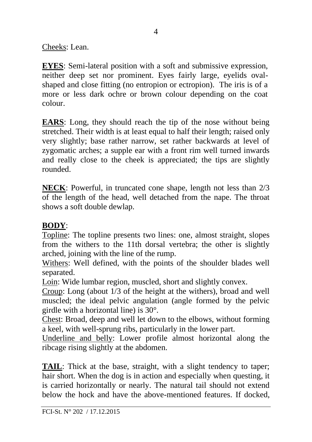Cheeks: Lean.

**EYES**: Semi-lateral position with a soft and submissive expression, neither deep set nor prominent. Eyes fairly large, eyelids ovalshaped and close fitting (no entropion or ectropion). The iris is of a more or less dark ochre or brown colour depending on the coat colour.

**EARS**: Long, they should reach the tip of the nose without being stretched. Their width is at least equal to half their length; raised only very slightly; base rather narrow, set rather backwards at level of zygomatic arches; a supple ear with a front rim well turned inwards and really close to the cheek is appreciated; the tips are slightly rounded.

**NECK:** Powerful, in truncated cone shape, length not less than 2/3 of the length of the head, well detached from the nape. The throat shows a soft double dewlap.

### **BODY**:

Topline: The topline presents two lines: one, almost straight, slopes from the withers to the 11th dorsal vertebra; the other is slightly arched, joining with the line of the rump.

Withers: Well defined, with the points of the shoulder blades well separated.

Loin: Wide lumbar region, muscled, short and slightly convex.

Croup: Long (about 1/3 of the height at the withers), broad and well muscled; the ideal pelvic angulation (angle formed by the pelvic girdle with a horizontal line) is 30°.

Chest: Broad, deep and well let down to the elbows, without forming a keel, with well-sprung ribs, particularly in the lower part.

Underline and belly: Lower profile almost horizontal along the ribcage rising slightly at the abdomen.

**TAIL**: Thick at the base, straight, with a slight tendency to taper; hair short. When the dog is in action and especially when questing, it is carried horizontally or nearly. The natural tail should not extend below the hock and have the above-mentioned features. If docked,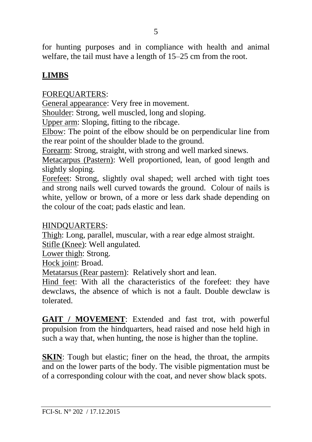for hunting purposes and in compliance with health and animal welfare, the tail must have a length of 15–25 cm from the root.

### **LIMBS**

FOREQUARTERS:

General appearance: Very free in movement.

Shoulder: Strong, well muscled, long and sloping.

Upper arm: Sloping, fitting to the ribcage.

Elbow: The point of the elbow should be on perpendicular line from the rear point of the shoulder blade to the ground.

Forearm: Strong, straight, with strong and well marked sinews.

Metacarpus (Pastern): Well proportioned, lean, of good length and slightly sloping.

Forefeet: Strong, slightly oval shaped; well arched with tight toes and strong nails well curved towards the ground. Colour of nails is white, yellow or brown, of a more or less dark shade depending on the colour of the coat; pads elastic and lean.

#### HINDQUARTERS:

Thigh: Long, parallel, muscular, with a rear edge almost straight. Stifle (Knee): Well angulated*.*

Lower thigh: Strong.

Hock joint: Broad.

Metatarsus (Rear pastern): Relatively short and lean.

Hind feet: With all the characteristics of the forefeet: they have dewclaws, the absence of which is not a fault. Double dewclaw is tolerated.

**GAIT / MOVEMENT**: Extended and fast trot, with powerful propulsion from the hindquarters, head raised and nose held high in such a way that, when hunting, the nose is higher than the topline.

**SKIN**: Tough but elastic; finer on the head, the throat, the armpits and on the lower parts of the body. The visible pigmentation must be of a corresponding colour with the coat, and never show black spots.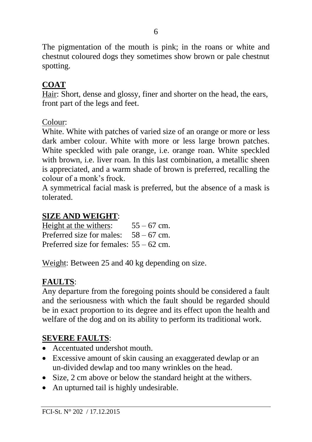The pigmentation of the mouth is pink; in the roans or white and chestnut coloured dogs they sometimes show brown or pale chestnut spotting.

# **COAT**

Hair: Short, dense and glossy, finer and shorter on the head, the ears, front part of the legs and feet.

Colour:

White. White with patches of varied size of an orange or more or less dark amber colour. White with more or less large brown patches. White speckled with pale orange, i.e. orange roan. White speckled with brown, i.e. liver roan. In this last combination, a metallic sheen is appreciated, and a warm shade of brown is preferred, recalling the colour of a monk's frock.

A symmetrical facial mask is preferred, but the absence of a mask is tolerated.

# **SIZE AND WEIGHT**:

| Height at the withers:                    | $55 - 67$ cm. |
|-------------------------------------------|---------------|
| Preferred size for males: $58 - 67$ cm.   |               |
| Preferred size for females: $55 - 62$ cm. |               |

Weight: Between 25 and 40 kg depending on size.

# **FAULTS**:

Any departure from the foregoing points should be considered a fault and the seriousness with which the fault should be regarded should be in exact proportion to its degree and its effect upon the health and welfare of the dog and on its ability to perform its traditional work.

# **SEVERE FAULTS**:

- Accentuated undershot mouth.
- Excessive amount of skin causing an exaggerated dewlap or an un-divided dewlap and too many wrinkles on the head.
- Size, 2 cm above or below the standard height at the withers.
- An upturned tail is highly undesirable.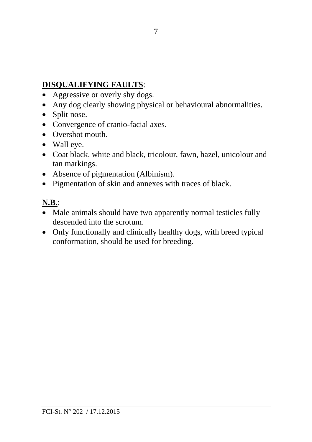# **DISQUALIFYING FAULTS**:

- Aggressive or overly shy dogs.
- Any dog clearly showing physical or behavioural abnormalities.
- Split nose.
- Convergence of cranio-facial axes.
- Overshot mouth.
- Wall eye.
- Coat black, white and black, tricolour, fawn, hazel, unicolour and tan markings.
- Absence of pigmentation (Albinism).
- Pigmentation of skin and annexes with traces of black.

## **N.B.**:

- Male animals should have two apparently normal testicles fully descended into the scrotum.
- Only functionally and clinically healthy dogs, with breed typical conformation, should be used for breeding.